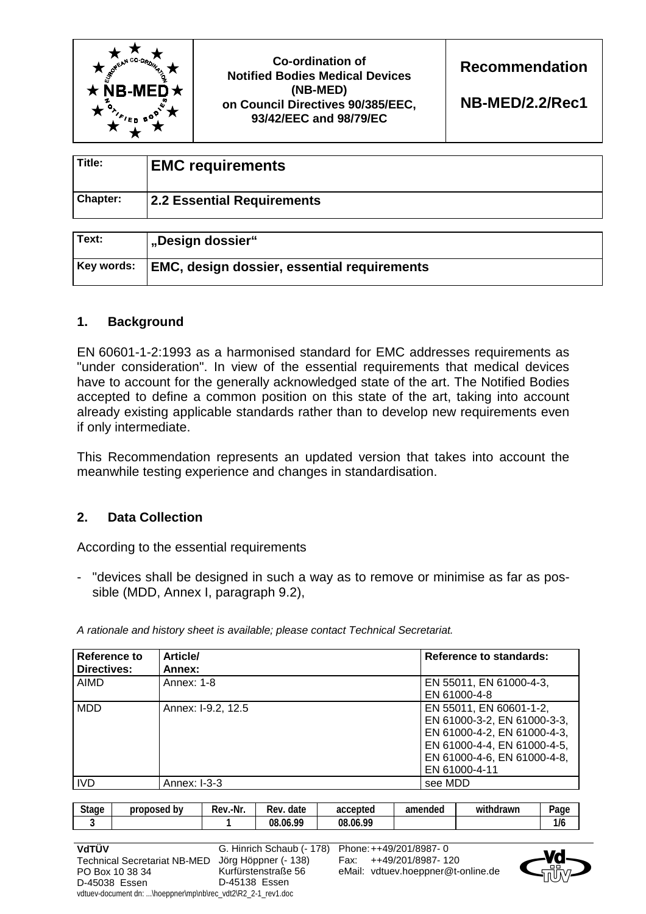

| Title:          | <b>EMC requirements</b>    |
|-----------------|----------------------------|
| <b>Chapter:</b> | 2.2 Essential Requirements |

| Text:      | "Design dossier"                                   |
|------------|----------------------------------------------------|
| Key words: | <b>EMC, design dossier, essential requirements</b> |

## **1. Background**

EN 60601-1-2:1993 as a harmonised standard for EMC addresses requirements as "under consideration". In view of the essential requirements that medical devices have to account for the generally acknowledged state of the art. The Notified Bodies accepted to define a common position on this state of the art, taking into account already existing applicable standards rather than to develop new requirements even if only intermediate.

This Recommendation represents an updated version that takes into account the meanwhile testing experience and changes in standardisation.

## **2. Data Collection**

According to the essential requirements

- "devices shall be designed in such a way as to remove or minimise as far as possible (MDD, Annex I, paragraph 9.2),

| Reference to | <b>Article/</b>    | <b>Reference to standards:</b> |
|--------------|--------------------|--------------------------------|
| Directives:  | Annex:             |                                |
| AIMD         | Annex: 1-8         | EN 55011, EN 61000-4-3,        |
|              |                    | EN 61000-4-8                   |
| <b>MDD</b>   | Annex: I-9.2, 12.5 | EN 55011, EN 60601-1-2,        |
|              |                    | EN 61000-3-2, EN 61000-3-3,    |
|              |                    | EN 61000-4-2, EN 61000-4-3,    |
|              |                    | EN 61000-4-4, EN 61000-4-5,    |
|              |                    | EN 61000-4-6, EN 61000-4-8,    |
|              |                    | EN 61000-4-11                  |
| <b>IVD</b>   | Annex: I-3-3       | see MDD                        |

*A rationale and history sheet is available; please contact Technical Secretariat.* 

| $\sim$<br>stage<br>. . | b٧<br>proposed | .-Nr<br>Rev | -<br>date<br><b>Rev</b> | accepted      | amended | $\cdots$<br>WÌ<br>ıdrawr<br>110 H | Page |
|------------------------|----------------|-------------|-------------------------|---------------|---------|-----------------------------------|------|
|                        |                |             | 00<br>08<br>.06         | .06.99<br>08. |         |                                   | 1/6  |

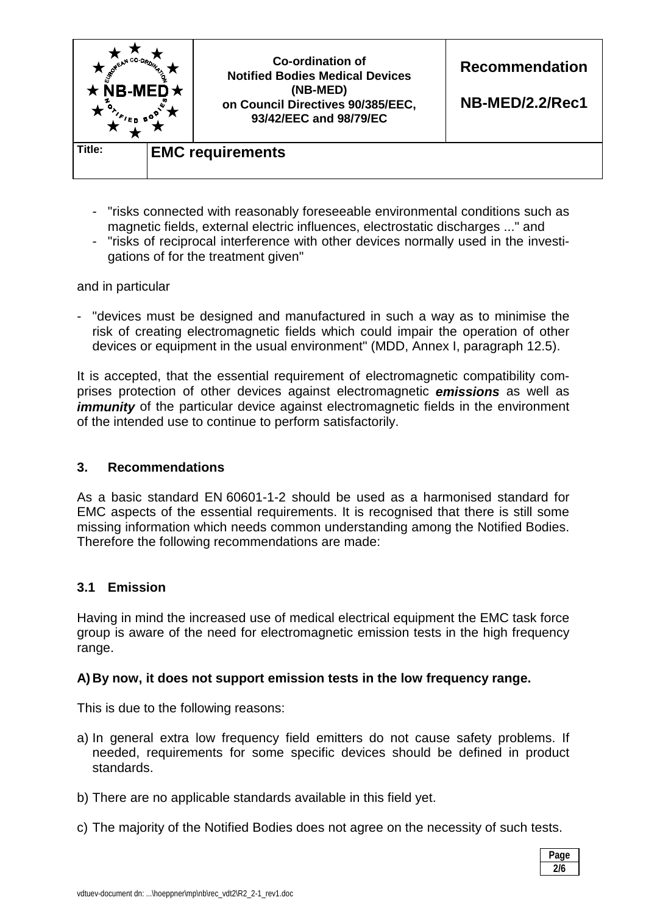

- "risks connected with reasonably foreseeable environmental conditions such as magnetic fields, external electric influences, electrostatic discharges ..." and
- "risks of reciprocal interference with other devices normally used in the investigations of for the treatment given"

and in particular

- "devices must be designed and manufactured in such a way as to minimise the risk of creating electromagnetic fields which could impair the operation of other devices or equipment in the usual environment" (MDD, Annex I, paragraph 12.5).

It is accepted, that the essential requirement of electromagnetic compatibility comprises protection of other devices against electromagnetic *emissions* as well as *immunity* of the particular device against electromagnetic fields in the environment of the intended use to continue to perform satisfactorily.

## **3. Recommendations**

As a basic standard EN 60601-1-2 should be used as a harmonised standard for EMC aspects of the essential requirements. It is recognised that there is still some missing information which needs common understanding among the Notified Bodies. Therefore the following recommendations are made:

## **3.1 Emission**

Having in mind the increased use of medical electrical equipment the EMC task force group is aware of the need for electromagnetic emission tests in the high frequency range.

## **A) By now, it does not support emission tests in the low frequency range.**

This is due to the following reasons:

- a) In general extra low frequency field emitters do not cause safety problems. If needed, requirements for some specific devices should be defined in product standards.
- b) There are no applicable standards available in this field yet.
- c) The majority of the Notified Bodies does not agree on the necessity of such tests.

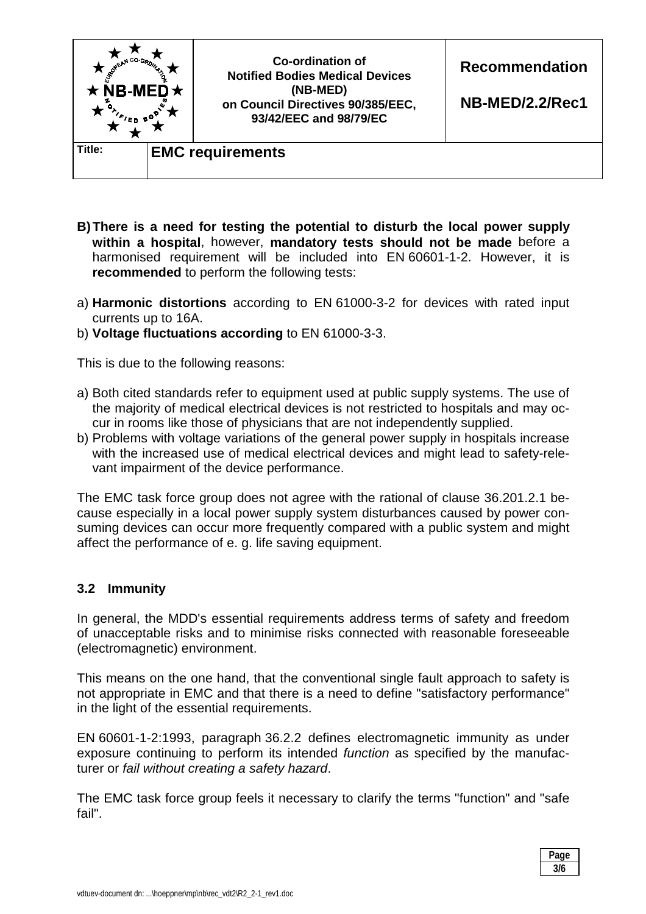

- **B) There is a need for testing the potential to disturb the local power supply within a hospital**, however, **mandatory tests should not be made** before a harmonised requirement will be included into EN 60601-1-2. However, it is **recommended** to perform the following tests:
- a) **Harmonic distortions** according to EN 61000-3-2 for devices with rated input currents up to 16A.
- b) **Voltage fluctuations according** to EN 61000-3-3.

This is due to the following reasons:

- a) Both cited standards refer to equipment used at public supply systems. The use of the majority of medical electrical devices is not restricted to hospitals and may occur in rooms like those of physicians that are not independently supplied.
- b) Problems with voltage variations of the general power supply in hospitals increase with the increased use of medical electrical devices and might lead to safety-relevant impairment of the device performance.

The EMC task force group does not agree with the rational of clause 36.201.2.1 because especially in a local power supply system disturbances caused by power consuming devices can occur more frequently compared with a public system and might affect the performance of e. g. life saving equipment.

## **3.2 Immunity**

In general, the MDD's essential requirements address terms of safety and freedom of unacceptable risks and to minimise risks connected with reasonable foreseeable (electromagnetic) environment.

This means on the one hand, that the conventional single fault approach to safety is not appropriate in EMC and that there is a need to define "satisfactory performance" in the light of the essential requirements.

EN 60601-1-2:1993, paragraph 36.2.2 defines electromagnetic immunity as under exposure continuing to perform its intended *function* as specified by the manufacturer or *fail without creating a safety hazard*.

The EMC task force group feels it necessary to clarify the terms "function" and "safe fail".

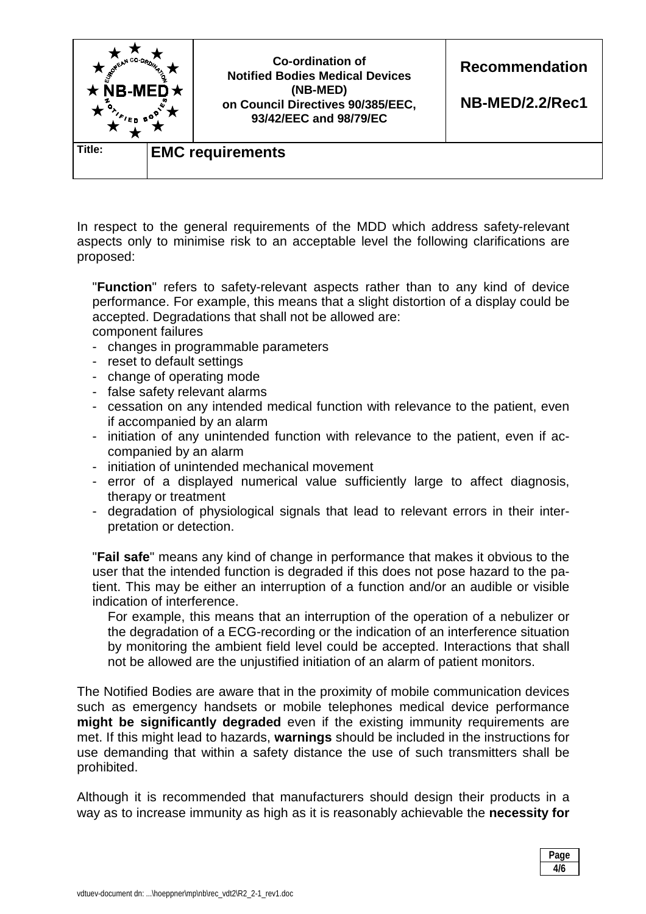

In respect to the general requirements of the MDD which address safety-relevant aspects only to minimise risk to an acceptable level the following clarifications are proposed:

 "**Function**" refers to safety-relevant aspects rather than to any kind of device performance. For example, this means that a slight distortion of a display could be accepted. Degradations that shall not be allowed are: component failures

- changes in programmable parameters
- reset to default settings
- change of operating mode
- false safety relevant alarms
- cessation on any intended medical function with relevance to the patient, even if accompanied by an alarm
- initiation of any unintended function with relevance to the patient, even if accompanied by an alarm
- initiation of unintended mechanical movement
- error of a displayed numerical value sufficiently large to affect diagnosis, therapy or treatment
- degradation of physiological signals that lead to relevant errors in their interpretation or detection.

 "**Fail safe**" means any kind of change in performance that makes it obvious to the user that the intended function is degraded if this does not pose hazard to the patient. This may be either an interruption of a function and/or an audible or visible indication of interference.

 For example, this means that an interruption of the operation of a nebulizer or the degradation of a ECG-recording or the indication of an interference situation by monitoring the ambient field level could be accepted. Interactions that shall not be allowed are the unjustified initiation of an alarm of patient monitors.

The Notified Bodies are aware that in the proximity of mobile communication devices such as emergency handsets or mobile telephones medical device performance **might be significantly degraded** even if the existing immunity requirements are met. If this might lead to hazards, **warnings** should be included in the instructions for use demanding that within a safety distance the use of such transmitters shall be prohibited.

Although it is recommended that manufacturers should design their products in a way as to increase immunity as high as it is reasonably achievable the **necessity for** 

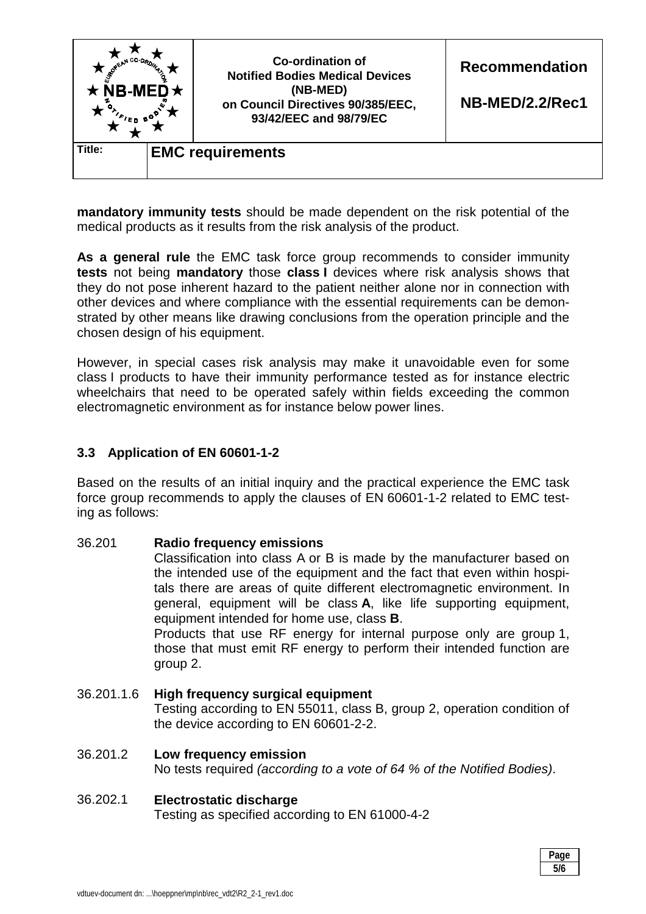

**mandatory immunity tests** should be made dependent on the risk potential of the medical products as it results from the risk analysis of the product.

**As a general rule** the EMC task force group recommends to consider immunity **tests** not being **mandatory** those **class I** devices where risk analysis shows that they do not pose inherent hazard to the patient neither alone nor in connection with other devices and where compliance with the essential requirements can be demonstrated by other means like drawing conclusions from the operation principle and the chosen design of his equipment.

However, in special cases risk analysis may make it unavoidable even for some class I products to have their immunity performance tested as for instance electric wheelchairs that need to be operated safely within fields exceeding the common electromagnetic environment as for instance below power lines.

## **3.3 Application of EN 60601-1-2**

Based on the results of an initial inquiry and the practical experience the EMC task force group recommends to apply the clauses of EN 60601-1-2 related to EMC testing as follows:

## 36.201 **Radio frequency emissions**

 Classification into class A or B is made by the manufacturer based on the intended use of the equipment and the fact that even within hospitals there are areas of quite different electromagnetic environment. In general, equipment will be class **A**, like life supporting equipment, equipment intended for home use, class **B**.

 Products that use RF energy for internal purpose only are group 1, those that must emit RF energy to perform their intended function are group 2.

#### 36.201.1.6 **High frequency surgical equipment** Testing according to EN 55011, class B, group 2, operation condition of the device according to EN 60601-2-2.

# 36.201.2 **Low frequency emission**  No tests required *(according to a vote of 64 % of the Notified Bodies)*.

## 36.202.1 **Electrostatic discharge**

Testing as specified according to EN 61000-4-2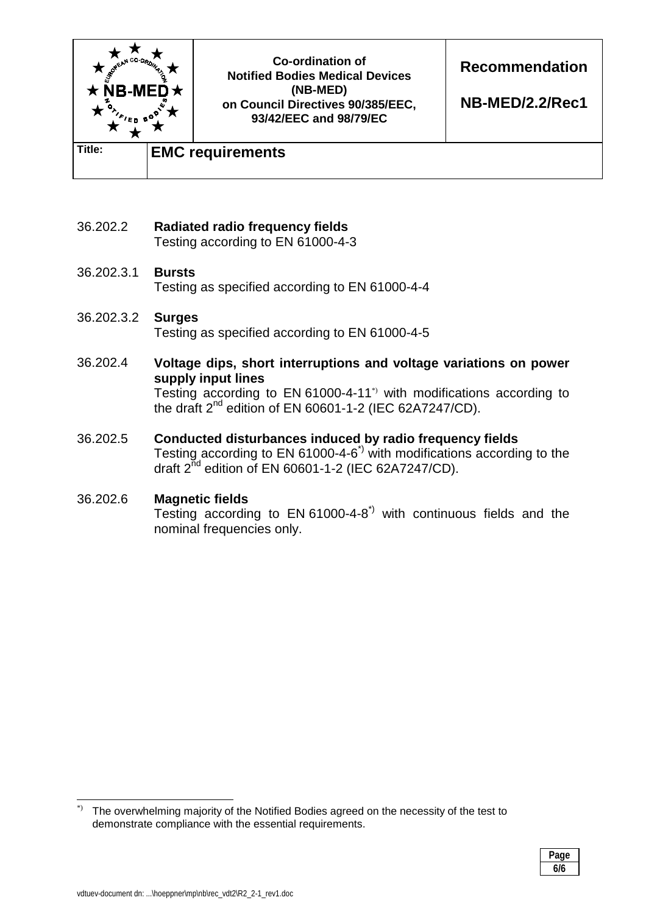

- 36.202.2 **Radiated radio frequency fields**  Testing according to EN 61000-4-3
- 36.202.3.1 **Bursts**  Testing as specified according to EN 61000-4-4
- 36.202.3.2 **Surges**  Testing as specified according to EN 61000-4-5
- 36.202.4 **Voltage dips, short interruptions and voltage variations on power supply input lines**  Testing according to EN 61000-4-11\*) with modifications according to

the draft  $2^{nd}$  edition of EN 60601-1-2 (IEC 62A7247/CD).

36.202.5 **Conducted disturbances induced by radio frequency fields**  Testing according to EN 61000-4-6<sup> $\dot{ }$ </sup> with modifications according to the draft  $2^{nd}$  edition of EN 60601-1-2 (IEC 62A7247/CD).

## 36.202.6 **Magnetic fields**

Testing according to  $EN 61000-4-8^{\gamma}$  with continuous fields and the nominal frequencies only.

 $\overline{\phantom{a}}$ The overwhelming majority of the Notified Bodies agreed on the necessity of the test to demonstrate compliance with the essential requirements.

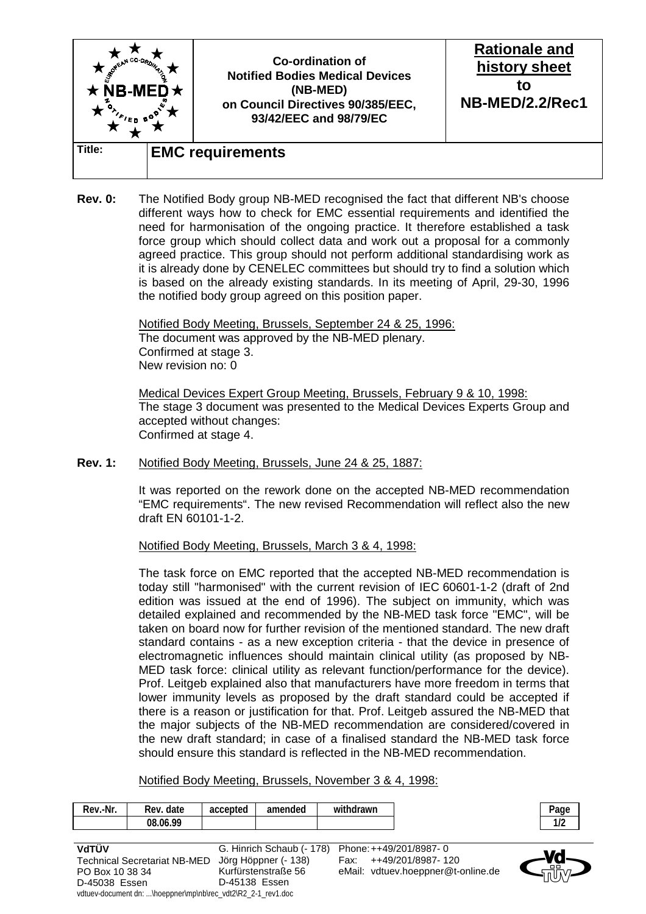

**Rev. 0:** The Notified Body group NB-MED recognised the fact that different NB's choose different ways how to check for EMC essential requirements and identified the need for harmonisation of the ongoing practice. It therefore established a task force group which should collect data and work out a proposal for a commonly agreed practice. This group should not perform additional standardising work as it is already done by CENELEC committees but should try to find a solution which is based on the already existing standards. In its meeting of April, 29-30, 1996 the notified body group agreed on this position paper.

> Notified Body Meeting, Brussels, September 24 & 25, 1996: The document was approved by the NB-MED plenary. Confirmed at stage 3. New revision no: 0

 Medical Devices Expert Group Meeting, Brussels, February 9 & 10, 1998: The stage 3 document was presented to the Medical Devices Experts Group and accepted without changes: Confirmed at stage 4.

**Rev. 1:** Notified Body Meeting, Brussels, June 24 & 25, 1887:

 It was reported on the rework done on the accepted NB-MED recommendation "EMC requirements". The new revised Recommendation will reflect also the new draft EN 60101-1-2.

Notified Body Meeting, Brussels, March 3 & 4, 1998:

 The task force on EMC reported that the accepted NB-MED recommendation is today still "harmonised" with the current revision of IEC 60601-1-2 (draft of 2nd edition was issued at the end of 1996). The subject on immunity, which was detailed explained and recommended by the NB-MED task force "EMC", will be taken on board now for further revision of the mentioned standard. The new draft standard contains - as a new exception criteria - that the device in presence of electromagnetic influences should maintain clinical utility (as proposed by NB-MED task force: clinical utility as relevant function/performance for the device). Prof. Leitgeb explained also that manufacturers have more freedom in terms that lower immunity levels as proposed by the draft standard could be accepted if there is a reason or justification for that. Prof. Leitgeb assured the NB-MED that the major subjects of the NB-MED recommendation are considered/covered in the new draft standard; in case of a finalised standard the NB-MED task force should ensure this standard is reflected in the NB-MED recommendation.

Notified Body Meeting, Brussels, November 3 & 4, 1998:

| Rev.-Nr.<br>withdrawn<br>Rev. date<br>amended<br>accepted |
|-----------------------------------------------------------|
| 08.06.99                                                  |

| VdTÜV                                                        | G. Hinrich Schaub (- 178) Phone: ++49/201/8987-0 |                                    |  |  |  |
|--------------------------------------------------------------|--------------------------------------------------|------------------------------------|--|--|--|
| <b>Technical Secretariat NB-MED</b>                          | Jörg Höppner (- 138)                             | Fax: ++49/201/8987-120             |  |  |  |
| PO Box 10 38 34                                              | Kurfürstenstraße 56                              | eMail: vdtuev.hoeppner@t-online.de |  |  |  |
| D-45038 Essen                                                | D-45138 Essen                                    |                                    |  |  |  |
| vdtuev-document dn: \hoeppner\mp\nb\rec_vdt2\R2_2-1_rev1.doc |                                                  |                                    |  |  |  |